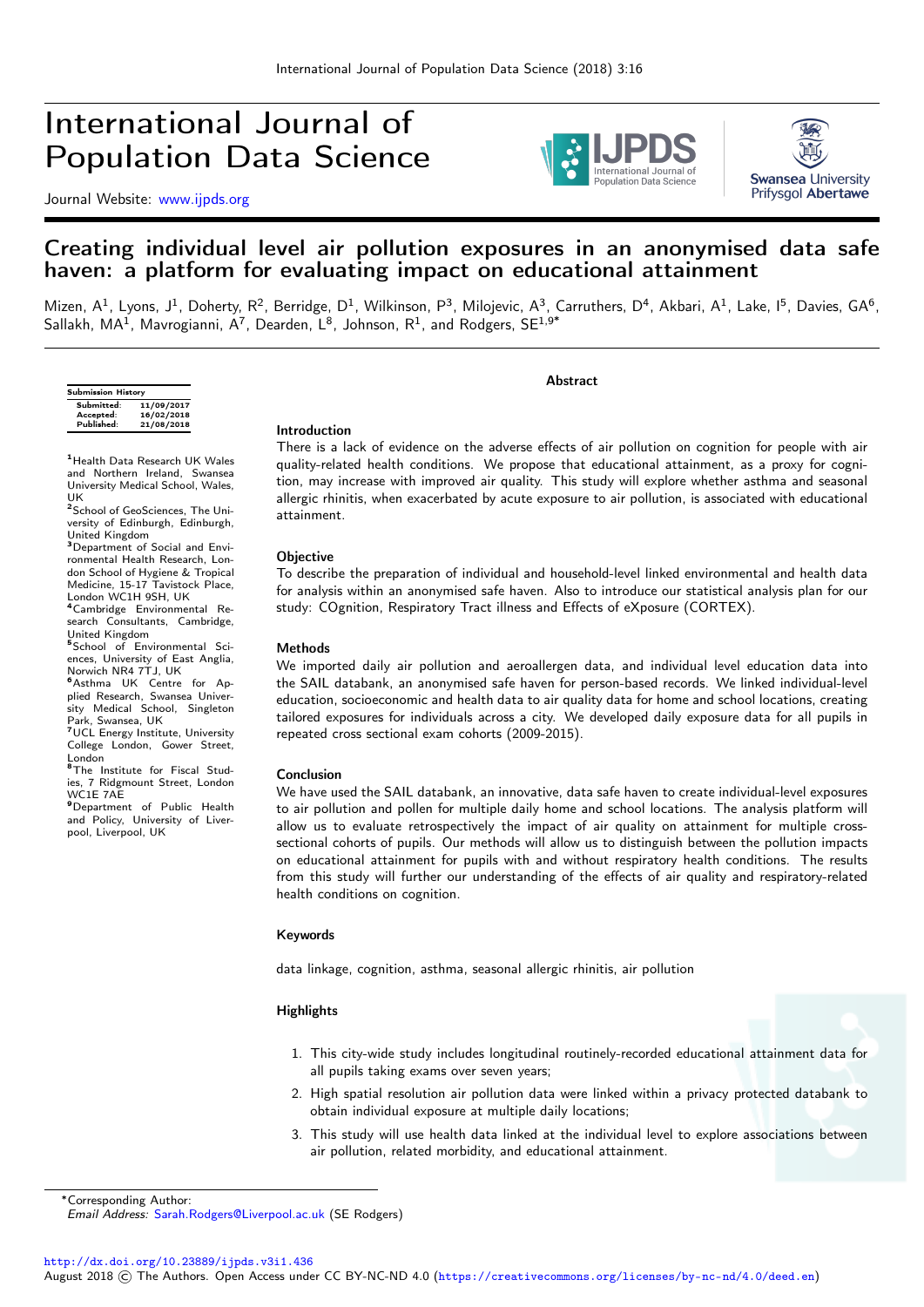# International Journal of Population Data Science

Journal Website: [www.ijpds.org](http://www.ijpds.org)





### Creating individual level air pollution exposures in an anonymised data safe haven: a platform for evaluating impact on educational attainment

Mizen, A<sup>1</sup>, Lyons, J<sup>1</sup>, Doherty, R<sup>2</sup>, Berridge, D<sup>1</sup>, Wilkinson, P<sup>3</sup>, Milojevic, A<sup>3</sup>, Carruthers, D<sup>4</sup>, Akbari, A<sup>1</sup>, Lake, I<sup>5</sup>, Davies, GA<sup>6</sup>, Sallakh, MA $^1$ , Mavrogianni, A $^7$ , Dearden, L $^8$ , Johnson, R $^1$ , and Rodgers, SE $^{1,9^*}$ 

| <b>Submission History</b> |            |
|---------------------------|------------|
| Submitted:                | 11/09/2017 |
| Accepted:                 | 16/02/2018 |
| Published:                | 21/08/2018 |
|                           |            |

<sup>1</sup> Health Data Research UK Wales and Northern Ireland, Swansea University Medical School, Wales, UK

<sup>2</sup>School of GeoSciences, The University of Edinburgh, Edinburgh, United Kingdom

<sup>3</sup>Department of Social and Environmental Health Research, London School of Hygiene & Tropical Medicine, 15-17 Tavistock Place, London WC1H 9SH, UK<br><sup>4</sup>Cambridge Environmental Re-

search Consultants, Cambridge, United Kingdom

<sup>5</sup> School of Environmental Sci-<br>ences, University of East Anglia, Norwich NR4 7TJ, UK

**<sup>6</sup>Asthma UK Centre for Ap-<br>plied Research, Swansea Univer**sity Medical School, Singleton Park, Swansea, UK<br><sup>7</sup>UCL Energy Institute, University

College London, Gower Street, London

**8The Institute for Fiscal Stud**ies, 7 Ridgmount Street, London  $WCIE 7\overline{AF}$ 

**9** Department of Public Health and Policy, University of Liver-pool, Liverpool, UK

#### Introduction

There is a lack of evidence on the adverse effects of air pollution on cognition for people with air quality-related health conditions. We propose that educational attainment, as a proxy for cognition, may increase with improved air quality. This study will explore whether asthma and seasonal allergic rhinitis, when exacerbated by acute exposure to air pollution, is associated with educational attainment.

**Abstract** 

#### **Objective**

To describe the preparation of individual and household-level linked environmental and health data for analysis within an anonymised safe haven. Also to introduce our statistical analysis plan for our study: COgnition, Respiratory Tract illness and Effects of eXposure (CORTEX).

#### Methods

We imported daily air pollution and aeroallergen data, and individual level education data into the SAIL databank, an anonymised safe haven for person-based records. We linked individual-level education, socioeconomic and health data to air quality data for home and school locations, creating tailored exposures for individuals across a city. We developed daily exposure data for all pupils in repeated cross sectional exam cohorts (2009-2015).

#### Conclusion

We have used the SAIL databank, an innovative, data safe haven to create individual-level exposures to air pollution and pollen for multiple daily home and school locations. The analysis platform will allow us to evaluate retrospectively the impact of air quality on attainment for multiple crosssectional cohorts of pupils. Our methods will allow us to distinguish between the pollution impacts on educational attainment for pupils with and without respiratory health conditions. The results from this study will further our understanding of the effects of air quality and respiratory-related health conditions on cognition.

#### Keywords

data linkage, cognition, asthma, seasonal allergic rhinitis, air pollution

#### **Highlights**

- 1. This city-wide study includes longitudinal routinely-recorded educational attainment data for all pupils taking exams over seven years;
- 2. High spatial resolution air pollution data were linked within a privacy protected databank to obtain individual exposure at multiple daily locations;
- 3. This study will use health data linked at the individual level to explore associations between air pollution, related morbidity, and educational attainment.

<sup>∗</sup>Corresponding Author:

<http://dx.doi.org/10.23889/ijpds.v3i1.436>

Email Address: [Sarah.Rodgers@Liverpool.ac.uk](mailto:Sarah.Rodgers@Liverpool.ac.uk) (SE Rodgers)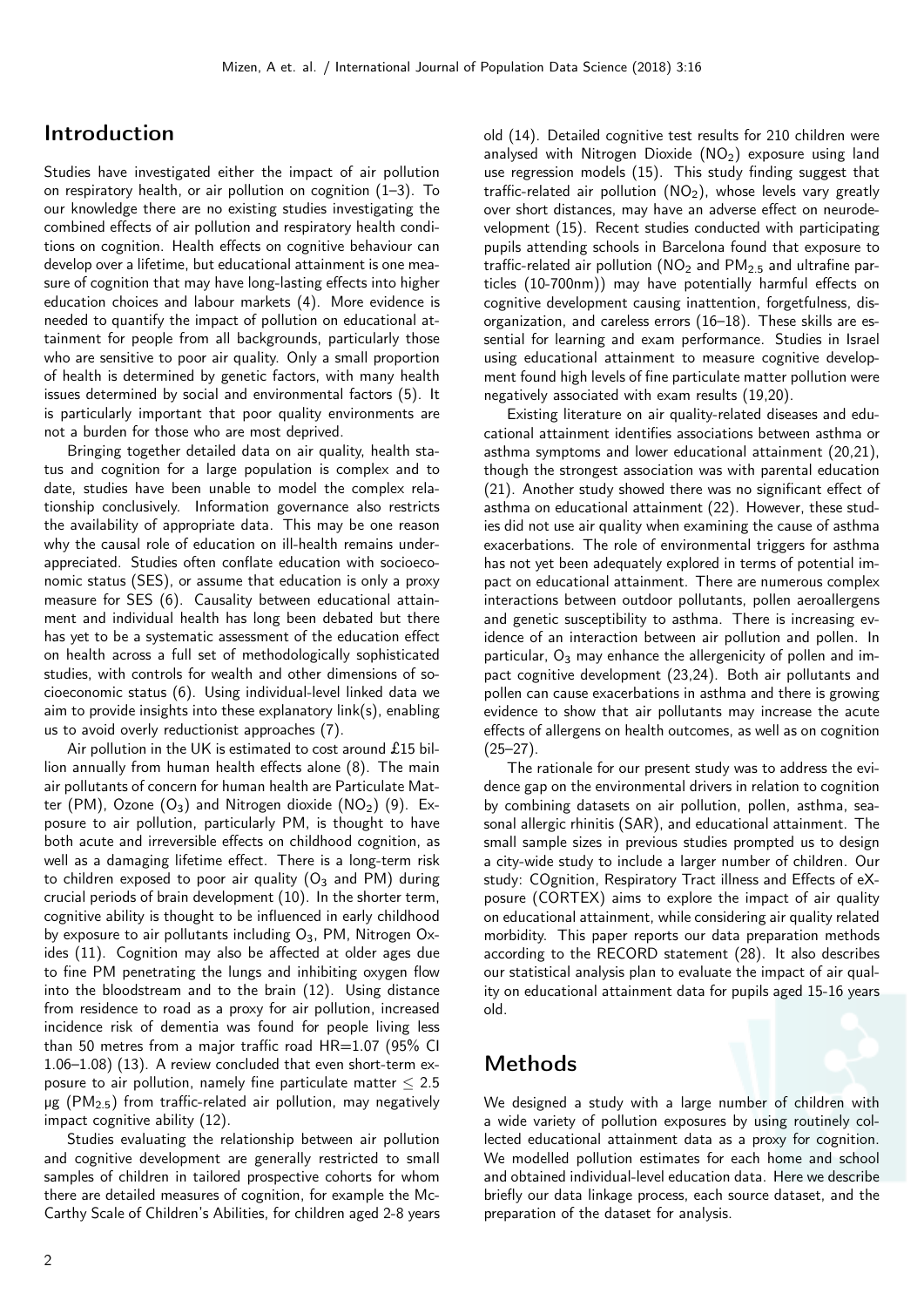# Introduction

Studies have investigated either the impact of air pollution on respiratory health, or air pollution on cognition (1–3). To our knowledge there are no existing studies investigating the combined effects of air pollution and respiratory health conditions on cognition. Health effects on cognitive behaviour can develop over a lifetime, but educational attainment is one measure of cognition that may have long-lasting effects into higher education choices and labour markets (4). More evidence is needed to quantify the impact of pollution on educational attainment for people from all backgrounds, particularly those who are sensitive to poor air quality. Only a small proportion of health is determined by genetic factors, with many health issues determined by social and environmental factors (5). It is particularly important that poor quality environments are not a burden for those who are most deprived.

Bringing together detailed data on air quality, health status and cognition for a large population is complex and to date, studies have been unable to model the complex relationship conclusively. Information governance also restricts the availability of appropriate data. This may be one reason why the causal role of education on ill-health remains underappreciated. Studies often conflate education with socioeconomic status (SES), or assume that education is only a proxy measure for SES (6). Causality between educational attainment and individual health has long been debated but there has yet to be a systematic assessment of the education effect on health across a full set of methodologically sophisticated studies, with controls for wealth and other dimensions of socioeconomic status (6). Using individual-level linked data we aim to provide insights into these explanatory link(s), enabling us to avoid overly reductionist approaches (7).

Air pollution in the UK is estimated to cost around £15 billion annually from human health effects alone (8). The main air pollutants of concern for human health are Particulate Matter (PM), Ozone  $(O_3)$  and Nitrogen dioxide (NO<sub>2</sub>) (9). Exposure to air pollution, particularly PM, is thought to have both acute and irreversible effects on childhood cognition, as well as a damaging lifetime effect. There is a long-term risk to children exposed to poor air quality  $(O_3$  and PM) during crucial periods of brain development (10). In the shorter term, cognitive ability is thought to be influenced in early childhood by exposure to air pollutants including  $O_3$ , PM, Nitrogen Oxides (11). Cognition may also be affected at older ages due to fine PM penetrating the lungs and inhibiting oxygen flow into the bloodstream and to the brain (12). Using distance from residence to road as a proxy for air pollution, increased incidence risk of dementia was found for people living less than 50 metres from a major traffic road  $HR=1.07$  (95% CI 1.06–1.08) (13). A review concluded that even short-term exposure to air pollution, namely fine particulate matter  $\leq 2.5$  $\mu$ g (PM<sub>2.5</sub>) from traffic-related air pollution, may negatively impact cognitive ability (12).

Studies evaluating the relationship between air pollution and cognitive development are generally restricted to small samples of children in tailored prospective cohorts for whom there are detailed measures of cognition, for example the Mc-Carthy Scale of Children's Abilities, for children aged 2-8 years old (14). Detailed cognitive test results for 210 children were analysed with Nitrogen Dioxide  $(NO<sub>2</sub>)$  exposure using land use regression models (15). This study finding suggest that traffic-related air pollution  $(NO<sub>2</sub>)$ , whose levels vary greatly over short distances, may have an adverse effect on neurodevelopment (15). Recent studies conducted with participating pupils attending schools in Barcelona found that exposure to traffic-related air pollution ( $NO<sub>2</sub>$  and  $PM<sub>25</sub>$  and ultrafine particles (10-700nm)) may have potentially harmful effects on cognitive development causing inattention, forgetfulness, disorganization, and careless errors (16–18). These skills are essential for learning and exam performance. Studies in Israel using educational attainment to measure cognitive development found high levels of fine particulate matter pollution were negatively associated with exam results (19,20).

Existing literature on air quality-related diseases and educational attainment identifies associations between asthma or asthma symptoms and lower educational attainment (20,21), though the strongest association was with parental education (21). Another study showed there was no significant effect of asthma on educational attainment (22). However, these studies did not use air quality when examining the cause of asthma exacerbations. The role of environmental triggers for asthma has not yet been adequately explored in terms of potential impact on educational attainment. There are numerous complex interactions between outdoor pollutants, pollen aeroallergens and genetic susceptibility to asthma. There is increasing evidence of an interaction between air pollution and pollen. In particular,  $O_3$  may enhance the allergenicity of pollen and impact cognitive development (23,24). Both air pollutants and pollen can cause exacerbations in asthma and there is growing evidence to show that air pollutants may increase the acute effects of allergens on health outcomes, as well as on cognition  $(25-27)$ .

The rationale for our present study was to address the evidence gap on the environmental drivers in relation to cognition by combining datasets on air pollution, pollen, asthma, seasonal allergic rhinitis (SAR), and educational attainment. The small sample sizes in previous studies prompted us to design a city-wide study to include a larger number of children. Our study: COgnition, Respiratory Tract illness and Effects of eXposure (CORTEX) aims to explore the impact of air quality on educational attainment, while considering air quality related morbidity. This paper reports our data preparation methods according to the RECORD statement (28). It also describes our statistical analysis plan to evaluate the impact of air quality on educational attainment data for pupils aged 15-16 years old.

# Methods

We designed a study with a large number of children with a wide variety of pollution exposures by using routinely collected educational attainment data as a proxy for cognition. We modelled pollution estimates for each home and school and obtained individual-level education data. Here we describe briefly our data linkage process, each source dataset, and the preparation of the dataset for analysis.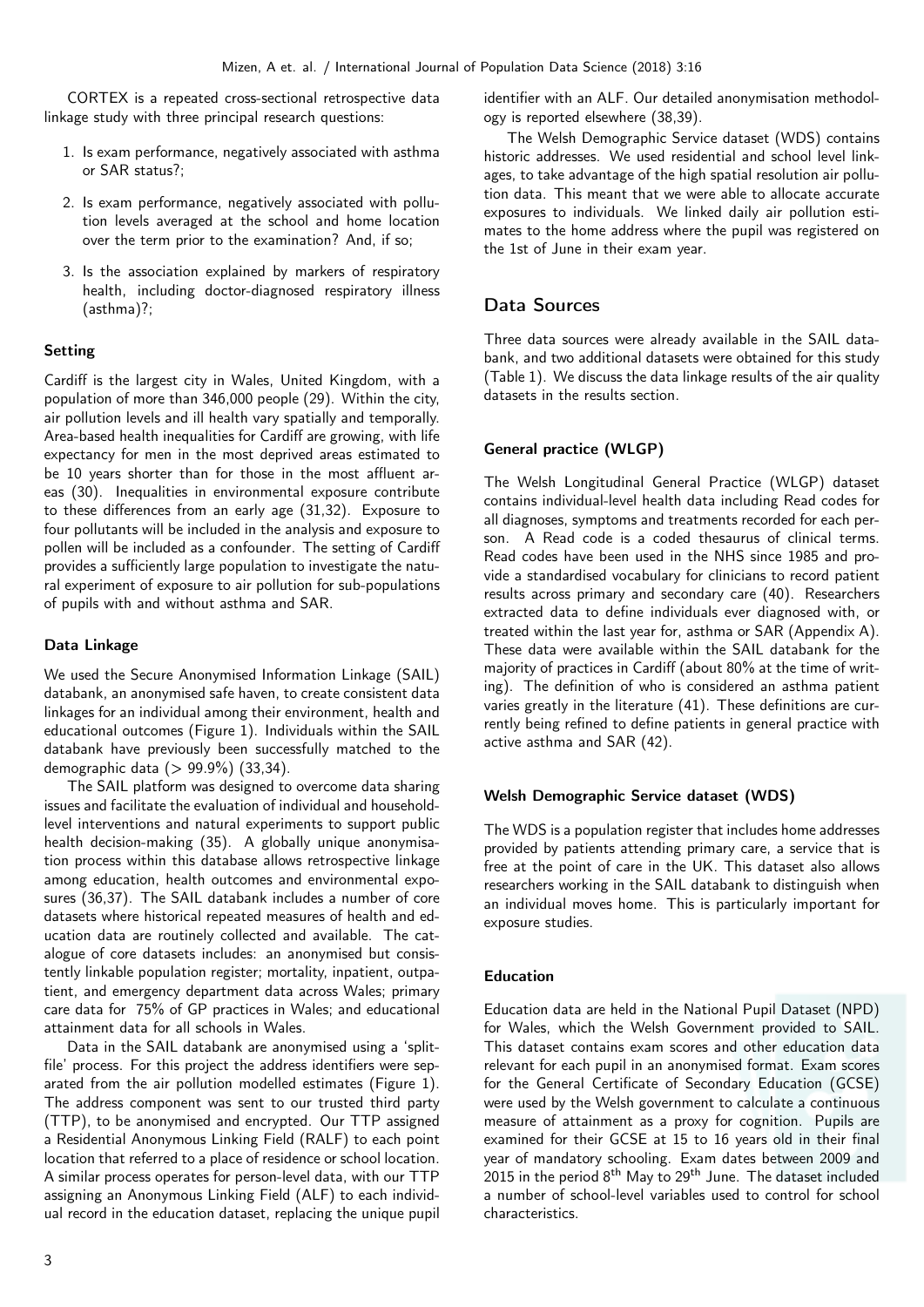CORTEX is a repeated cross-sectional retrospective data linkage study with three principal research questions:

- 1. Is exam performance, negatively associated with asthma or SAR status?;
- 2. Is exam performance, negatively associated with pollution levels averaged at the school and home location over the term prior to the examination? And, if so;
- 3. Is the association explained by markers of respiratory health, including doctor-diagnosed respiratory illness (asthma)?;

### Setting

Cardiff is the largest city in Wales, United Kingdom, with a population of more than 346,000 people (29). Within the city, air pollution levels and ill health vary spatially and temporally. Area-based health inequalities for Cardiff are growing, with life expectancy for men in the most deprived areas estimated to be 10 years shorter than for those in the most affluent areas (30). Inequalities in environmental exposure contribute to these differences from an early age (31,32). Exposure to four pollutants will be included in the analysis and exposure to pollen will be included as a confounder. The setting of Cardiff provides a sufficiently large population to investigate the natural experiment of exposure to air pollution for sub-populations of pupils with and without asthma and SAR.

#### Data Linkage

We used the Secure Anonymised Information Linkage (SAIL) databank, an anonymised safe haven, to create consistent data linkages for an individual among their environment, health and educational outcomes (Figure 1). Individuals within the SAIL databank have previously been successfully matched to the demographic data (> 99.9%) (33,34).

The SAIL platform was designed to overcome data sharing issues and facilitate the evaluation of individual and householdlevel interventions and natural experiments to support public health decision-making (35). A globally unique anonymisation process within this database allows retrospective linkage among education, health outcomes and environmental exposures (36,37). The SAIL databank includes a number of core datasets where historical repeated measures of health and education data are routinely collected and available. The catalogue of core datasets includes: an anonymised but consistently linkable population register; mortality, inpatient, outpatient, and emergency department data across Wales; primary care data for 75% of GP practices in Wales; and educational attainment data for all schools in Wales.

Data in the SAIL databank are anonymised using a 'splitfile' process. For this project the address identifiers were separated from the air pollution modelled estimates (Figure 1). The address component was sent to our trusted third party (TTP), to be anonymised and encrypted. Our TTP assigned a Residential Anonymous Linking Field (RALF) to each point location that referred to a place of residence or school location. A similar process operates for person-level data, with our TTP assigning an Anonymous Linking Field (ALF) to each individual record in the education dataset, replacing the unique pupil

identifier with an ALF. Our detailed anonymisation methodology is reported elsewhere (38,39).

The Welsh Demographic Service dataset (WDS) contains historic addresses. We used residential and school level linkages, to take advantage of the high spatial resolution air pollution data. This meant that we were able to allocate accurate exposures to individuals. We linked daily air pollution estimates to the home address where the pupil was registered on the 1st of June in their exam year.

### Data Sources

Three data sources were already available in the SAIL databank, and two additional datasets were obtained for this study (Table 1). We discuss the data linkage results of the air quality datasets in the results section.

### General practice (WLGP)

The Welsh Longitudinal General Practice (WLGP) dataset contains individual-level health data including Read codes for all diagnoses, symptoms and treatments recorded for each person. A Read code is a coded thesaurus of clinical terms. Read codes have been used in the NHS since 1985 and provide a standardised vocabulary for clinicians to record patient results across primary and secondary care (40). Researchers extracted data to define individuals ever diagnosed with, or treated within the last year for, asthma or SAR (Appendix A). These data were available within the SAIL databank for the majority of practices in Cardiff (about 80% at the time of writing). The definition of who is considered an asthma patient varies greatly in the literature (41). These definitions are currently being refined to define patients in general practice with active asthma and SAR (42).

### Welsh Demographic Service dataset (WDS)

The WDS is a population register that includes home addresses provided by patients attending primary care, a service that is free at the point of care in the UK. This dataset also allows researchers working in the SAIL databank to distinguish when an individual moves home. This is particularly important for exposure studies.

### Education

Education data are held in the National Pupil Dataset (NPD) for Wales, which the Welsh Government provided to SAIL. This dataset contains exam scores and other education data relevant for each pupil in an anonymised format. Exam scores for the General Certificate of Secondary Education (GCSE) were used by the Welsh government to calculate a continuous measure of attainment as a proxy for cognition. Pupils are examined for their GCSE at 15 to 16 years old in their final year of mandatory schooling. Exam dates between 2009 and 2015 in the period  $8<sup>th</sup>$  May to  $29<sup>th</sup>$  June. The dataset included a number of school-level variables used to control for school characteristics.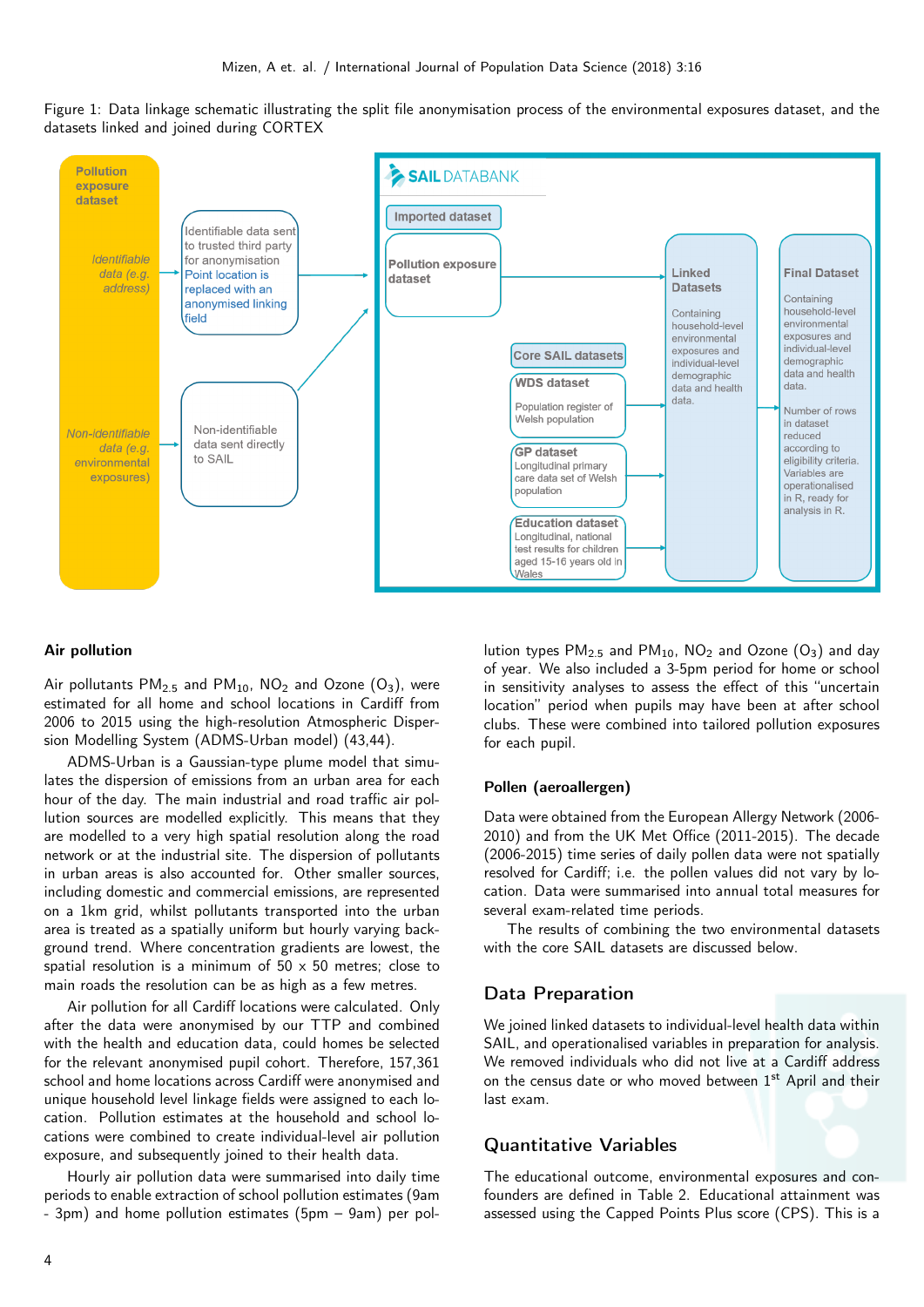



#### Air pollution

Air pollutants  $PM_{2.5}$  and  $PM_{10}$ , NO<sub>2</sub> and Ozone (O<sub>3</sub>), were estimated for all home and school locations in Cardiff from 2006 to 2015 using the high-resolution Atmospheric Dispersion Modelling System (ADMS-Urban model) (43,44).

ADMS-Urban is a Gaussian-type plume model that simulates the dispersion of emissions from an urban area for each hour of the day. The main industrial and road traffic air pollution sources are modelled explicitly. This means that they are modelled to a very high spatial resolution along the road network or at the industrial site. The dispersion of pollutants in urban areas is also accounted for. Other smaller sources, including domestic and commercial emissions, are represented on a 1km grid, whilst pollutants transported into the urban area is treated as a spatially uniform but hourly varying background trend. Where concentration gradients are lowest, the spatial resolution is a minimum of  $50 \times 50$  metres; close to main roads the resolution can be as high as a few metres.

Air pollution for all Cardiff locations were calculated. Only after the data were anonymised by our TTP and combined with the health and education data, could homes be selected for the relevant anonymised pupil cohort. Therefore, 157,361 school and home locations across Cardiff were anonymised and unique household level linkage fields were assigned to each location. Pollution estimates at the household and school locations were combined to create individual-level air pollution exposure, and subsequently joined to their health data.

Hourly air pollution data were summarised into daily time periods to enable extraction of school pollution estimates (9am - 3pm) and home pollution estimates (5pm – 9am) per pollution types  $PM_{2.5}$  and  $PM_{10}$ ,  $NO<sub>2</sub>$  and Ozone  $(O<sub>3</sub>)$  and day of year. We also included a 3-5pm period for home or school in sensitivity analyses to assess the effect of this "uncertain location" period when pupils may have been at after school clubs. These were combined into tailored pollution exposures for each pupil.

#### Pollen (aeroallergen)

Data were obtained from the European Allergy Network (2006- 2010) and from the UK Met Office (2011-2015). The decade (2006-2015) time series of daily pollen data were not spatially resolved for Cardiff; i.e. the pollen values did not vary by location. Data were summarised into annual total measures for several exam-related time periods.

The results of combining the two environmental datasets with the core SAIL datasets are discussed below.

### Data Preparation

We joined linked datasets to individual-level health data within SAIL, and operationalised variables in preparation for analysis. We removed individuals who did not live at a Cardiff address on the census date or who moved between 1<sup>st</sup> April and their last exam.

### Quantitative Variables

The educational outcome, environmental exposures and confounders are defined in Table 2. Educational attainment was assessed using the Capped Points Plus score (CPS). This is a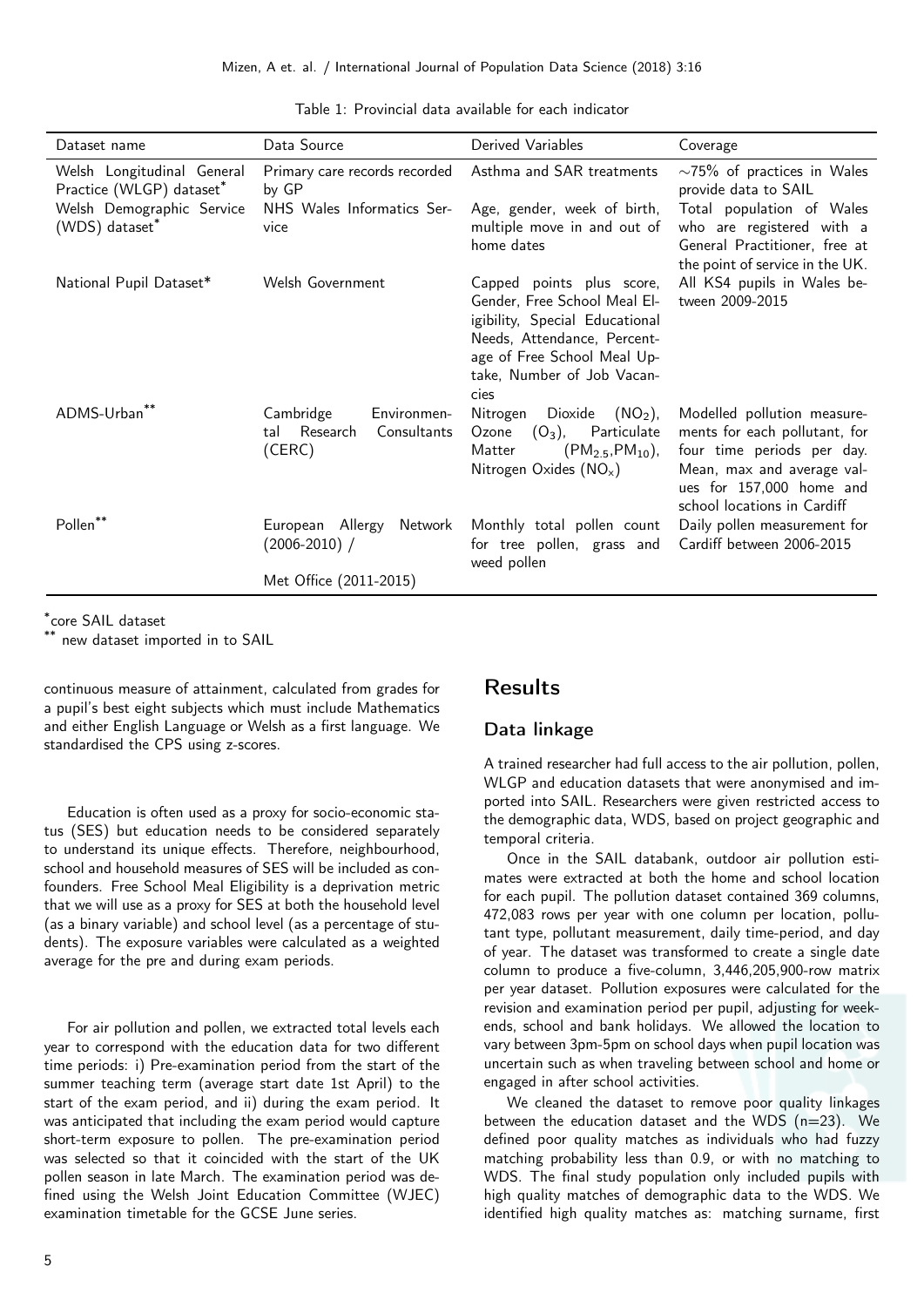| Dataset name                                           | Data Source                                                          | Derived Variables                                                                                                                                                                               | Coverage                                                                                                                                                                            |
|--------------------------------------------------------|----------------------------------------------------------------------|-------------------------------------------------------------------------------------------------------------------------------------------------------------------------------------------------|-------------------------------------------------------------------------------------------------------------------------------------------------------------------------------------|
| Welsh Longitudinal General<br>Practice (WLGP) dataset* | Primary care records recorded<br>by GP                               | Asthma and SAR treatments                                                                                                                                                                       | $\sim$ 75% of practices in Wales<br>provide data to SAIL                                                                                                                            |
| Welsh Demographic Service<br>(WDS) dataset*            | NHS Wales Informatics Ser-<br>vice                                   | Age, gender, week of birth,<br>multiple move in and out of<br>home dates                                                                                                                        | Total population of Wales<br>who are registered with a<br>General Practitioner, free at<br>the point of service in the UK.                                                          |
| National Pupil Dataset*                                | Welsh Government                                                     | Capped points plus score,<br>Gender, Free School Meal El-<br>igibility, Special Educational<br>Needs, Attendance, Percent-<br>age of Free School Meal Up-<br>take, Number of Job Vacan-<br>cies | All KS4 pupils in Wales be-<br>tween 2009-2015                                                                                                                                      |
| ADMS-Urban**                                           | Environmen-<br>Cambridge<br>Research<br>Consultants<br>tal<br>(CERC) | Nitrogen<br>Dioxide<br>$(NO2)$ ,<br>Particulate<br>$(O_3)$ ,<br>Ozone<br>$(PM_{2.5}, PM_{10})$ ,<br>Matter<br>Nitrogen Oxides $(NO_x)$                                                          | Modelled pollution measure-<br>ments for each pollutant, for<br>four time periods per day.<br>Mean, max and average val-<br>ues for 157,000 home and<br>school locations in Cardiff |
| Pollen**                                               | European Allergy<br>Network<br>$(2006 - 2010)$ /                     | Monthly total pollen count<br>for tree pollen, grass and<br>weed pollen                                                                                                                         | Daily pollen measurement for<br>Cardiff between 2006-2015                                                                                                                           |
|                                                        | Met Office (2011-2015)                                               |                                                                                                                                                                                                 |                                                                                                                                                                                     |

Table 1: Provincial data available for each indicator

\* core SAIL dataset

new dataset imported in to SAIL

continuous measure of attainment, calculated from grades for a pupil's best eight subjects which must include Mathematics and either English Language or Welsh as a first language. We standardised the CPS using z-scores.

Education is often used as a proxy for socio-economic status (SES) but education needs to be considered separately to understand its unique effects. Therefore, neighbourhood, school and household measures of SES will be included as confounders. Free School Meal Eligibility is a deprivation metric that we will use as a proxy for SES at both the household level (as a binary variable) and school level (as a percentage of students). The exposure variables were calculated as a weighted average for the pre and during exam periods.

For air pollution and pollen, we extracted total levels each year to correspond with the education data for two different time periods: i) Pre-examination period from the start of the summer teaching term (average start date 1st April) to the start of the exam period, and ii) during the exam period. It was anticipated that including the exam period would capture short-term exposure to pollen. The pre-examination period was selected so that it coincided with the start of the UK pollen season in late March. The examination period was defined using the Welsh Joint Education Committee (WJEC) examination timetable for the GCSE June series.

# 5

Results

### Data linkage

A trained researcher had full access to the air pollution, pollen, WLGP and education datasets that were anonymised and imported into SAIL. Researchers were given restricted access to the demographic data, WDS, based on project geographic and temporal criteria.

Once in the SAIL databank, outdoor air pollution estimates were extracted at both the home and school location for each pupil. The pollution dataset contained 369 columns, 472,083 rows per year with one column per location, pollutant type, pollutant measurement, daily time-period, and day of year. The dataset was transformed to create a single date column to produce a five-column, 3,446,205,900-row matrix per year dataset. Pollution exposures were calculated for the revision and examination period per pupil, adjusting for weekends, school and bank holidays. We allowed the location to vary between 3pm-5pm on school days when pupil location was uncertain such as when traveling between school and home or engaged in after school activities.

We cleaned the dataset to remove poor quality linkages between the education dataset and the WDS  $(n=23)$ . We defined poor quality matches as individuals who had fuzzy matching probability less than 0.9, or with no matching to WDS. The final study population only included pupils with high quality matches of demographic data to the WDS. We identified high quality matches as: matching surname, first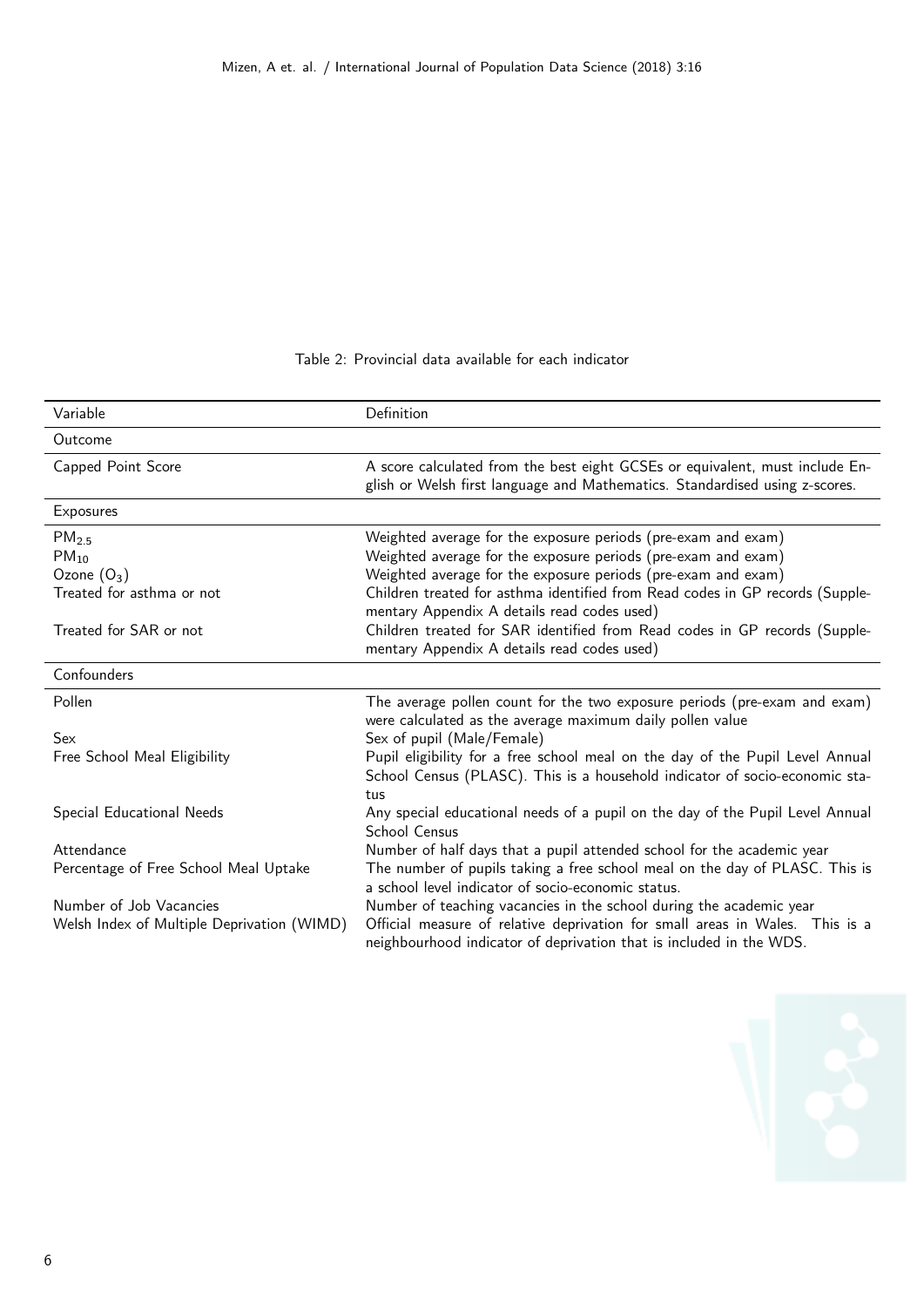### Table 2: Provincial data available for each indicator

| Variable                                                                                               | Definition                                                                                                                                                                                                                                                                                                                                                                                                    |
|--------------------------------------------------------------------------------------------------------|---------------------------------------------------------------------------------------------------------------------------------------------------------------------------------------------------------------------------------------------------------------------------------------------------------------------------------------------------------------------------------------------------------------|
| Outcome                                                                                                |                                                                                                                                                                                                                                                                                                                                                                                                               |
| Capped Point Score                                                                                     | A score calculated from the best eight GCSEs or equivalent, must include En-<br>glish or Welsh first language and Mathematics. Standardised using z-scores.                                                                                                                                                                                                                                                   |
| Exposures                                                                                              |                                                                                                                                                                                                                                                                                                                                                                                                               |
| PM <sub>2.5</sub><br>$PM_{10}$<br>Ozone $(O_3)$<br>Treated for asthma or not<br>Treated for SAR or not | Weighted average for the exposure periods (pre-exam and exam)<br>Weighted average for the exposure periods (pre-exam and exam)<br>Weighted average for the exposure periods (pre-exam and exam)<br>Children treated for asthma identified from Read codes in GP records (Supple-<br>mentary Appendix A details read codes used)<br>Children treated for SAR identified from Read codes in GP records (Supple- |
| Confounders                                                                                            | mentary Appendix A details read codes used)                                                                                                                                                                                                                                                                                                                                                                   |
|                                                                                                        |                                                                                                                                                                                                                                                                                                                                                                                                               |
| Pollen<br>Sex<br>Free School Meal Eligibility                                                          | The average pollen count for the two exposure periods (pre-exam and exam)<br>were calculated as the average maximum daily pollen value<br>Sex of pupil (Male/Female)<br>Pupil eligibility for a free school meal on the day of the Pupil Level Annual                                                                                                                                                         |
|                                                                                                        | School Census (PLASC). This is a household indicator of socio-economic sta-<br>tus                                                                                                                                                                                                                                                                                                                            |
| Special Educational Needs                                                                              | Any special educational needs of a pupil on the day of the Pupil Level Annual<br><b>School Census</b>                                                                                                                                                                                                                                                                                                         |
| Attendance                                                                                             | Number of half days that a pupil attended school for the academic year                                                                                                                                                                                                                                                                                                                                        |
| Percentage of Free School Meal Uptake                                                                  | The number of pupils taking a free school meal on the day of PLASC. This is<br>a school level indicator of socio-economic status.                                                                                                                                                                                                                                                                             |
| Number of Job Vacancies<br>Welsh Index of Multiple Deprivation (WIMD)                                  | Number of teaching vacancies in the school during the academic year<br>Official measure of relative deprivation for small areas in Wales. This is a<br>neighbourhood indicator of deprivation that is included in the WDS.                                                                                                                                                                                    |

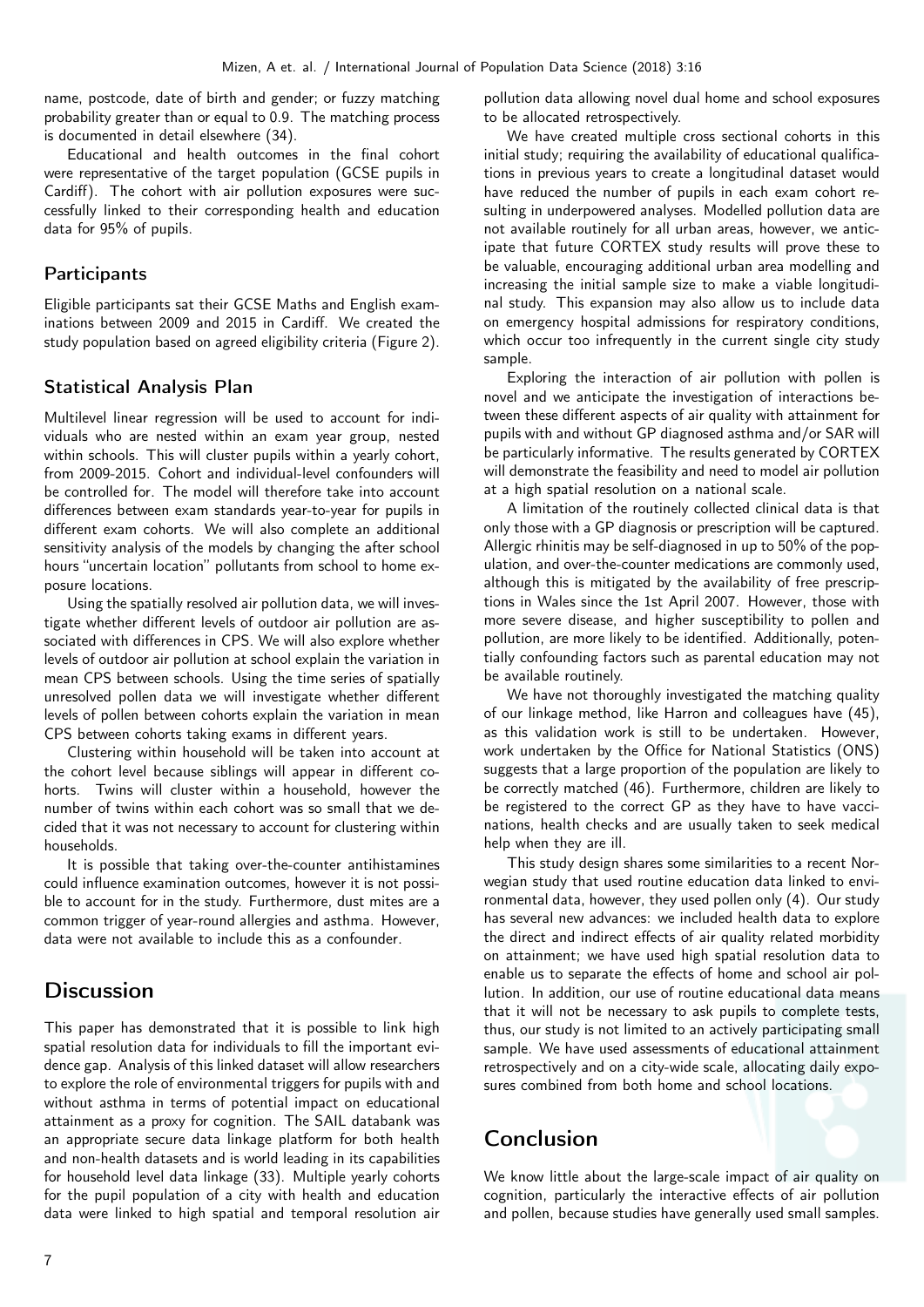name, postcode, date of birth and gender; or fuzzy matching probability greater than or equal to 0.9. The matching process is documented in detail elsewhere (34).

Educational and health outcomes in the final cohort were representative of the target population (GCSE pupils in Cardiff). The cohort with air pollution exposures were successfully linked to their corresponding health and education data for 95% of pupils.

### **Participants**

Eligible participants sat their GCSE Maths and English examinations between 2009 and 2015 in Cardiff. We created the study population based on agreed eligibility criteria (Figure 2).

### Statistical Analysis Plan

Multilevel linear regression will be used to account for individuals who are nested within an exam year group, nested within schools. This will cluster pupils within a yearly cohort, from 2009-2015. Cohort and individual-level confounders will be controlled for. The model will therefore take into account differences between exam standards year-to-year for pupils in different exam cohorts. We will also complete an additional sensitivity analysis of the models by changing the after school hours "uncertain location" pollutants from school to home exposure locations.

Using the spatially resolved air pollution data, we will investigate whether different levels of outdoor air pollution are associated with differences in CPS. We will also explore whether levels of outdoor air pollution at school explain the variation in mean CPS between schools. Using the time series of spatially unresolved pollen data we will investigate whether different levels of pollen between cohorts explain the variation in mean CPS between cohorts taking exams in different years.

Clustering within household will be taken into account at the cohort level because siblings will appear in different cohorts. Twins will cluster within a household, however the number of twins within each cohort was so small that we decided that it was not necessary to account for clustering within households.

It is possible that taking over-the-counter antihistamines could influence examination outcomes, however it is not possible to account for in the study. Furthermore, dust mites are a common trigger of year-round allergies and asthma. However, data were not available to include this as a confounder.

# **Discussion**

This paper has demonstrated that it is possible to link high spatial resolution data for individuals to fill the important evidence gap. Analysis of this linked dataset will allow researchers to explore the role of environmental triggers for pupils with and without asthma in terms of potential impact on educational attainment as a proxy for cognition. The SAIL databank was an appropriate secure data linkage platform for both health and non-health datasets and is world leading in its capabilities for household level data linkage (33). Multiple yearly cohorts for the pupil population of a city with health and education data were linked to high spatial and temporal resolution air

pollution data allowing novel dual home and school exposures to be allocated retrospectively.

We have created multiple cross sectional cohorts in this initial study; requiring the availability of educational qualifications in previous years to create a longitudinal dataset would have reduced the number of pupils in each exam cohort resulting in underpowered analyses. Modelled pollution data are not available routinely for all urban areas, however, we anticipate that future CORTEX study results will prove these to be valuable, encouraging additional urban area modelling and increasing the initial sample size to make a viable longitudinal study. This expansion may also allow us to include data on emergency hospital admissions for respiratory conditions, which occur too infrequently in the current single city study sample.

Exploring the interaction of air pollution with pollen is novel and we anticipate the investigation of interactions between these different aspects of air quality with attainment for pupils with and without GP diagnosed asthma and/or SAR will be particularly informative. The results generated by CORTEX will demonstrate the feasibility and need to model air pollution at a high spatial resolution on a national scale.

A limitation of the routinely collected clinical data is that only those with a GP diagnosis or prescription will be captured. Allergic rhinitis may be self-diagnosed in up to 50% of the population, and over-the-counter medications are commonly used, although this is mitigated by the availability of free prescriptions in Wales since the 1st April 2007. However, those with more severe disease, and higher susceptibility to pollen and pollution, are more likely to be identified. Additionally, potentially confounding factors such as parental education may not be available routinely.

We have not thoroughly investigated the matching quality of our linkage method, like Harron and colleagues have (45), as this validation work is still to be undertaken. However, work undertaken by the Office for National Statistics (ONS) suggests that a large proportion of the population are likely to be correctly matched (46). Furthermore, children are likely to be registered to the correct GP as they have to have vaccinations, health checks and are usually taken to seek medical help when they are ill.

This study design shares some similarities to a recent Norwegian study that used routine education data linked to environmental data, however, they used pollen only (4). Our study has several new advances: we included health data to explore the direct and indirect effects of air quality related morbidity on attainment; we have used high spatial resolution data to enable us to separate the effects of home and school air pollution. In addition, our use of routine educational data means that it will not be necessary to ask pupils to complete tests, thus, our study is not limited to an actively participating small sample. We have used assessments of educational attainment retrospectively and on a city-wide scale, allocating daily exposures combined from both home and school locations.

# Conclusion

We know little about the large-scale impact of air quality on cognition, particularly the interactive effects of air pollution and pollen, because studies have generally used small samples.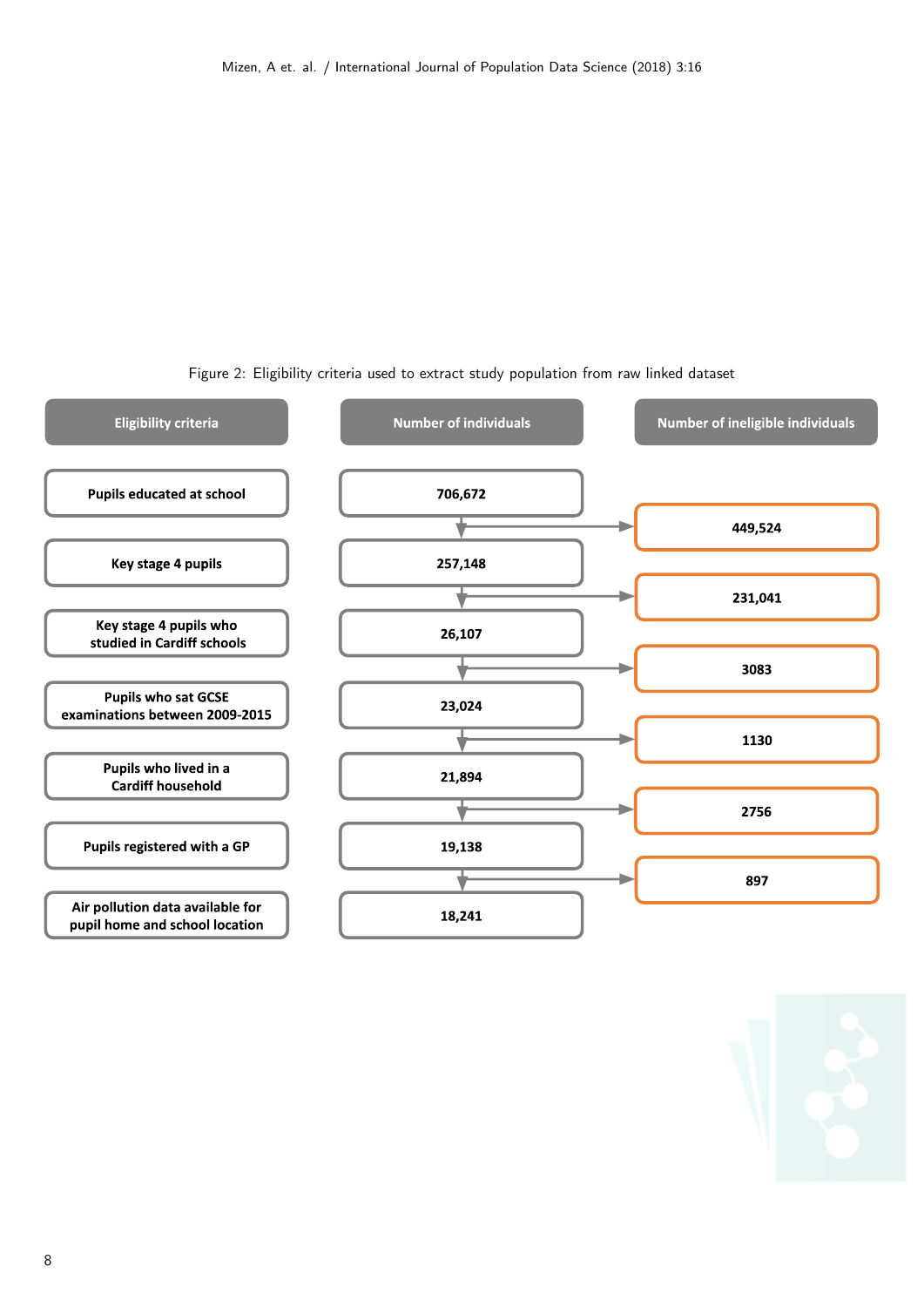

Figure 2: Eligibility criteria used to extract study population from raw linked dataset

8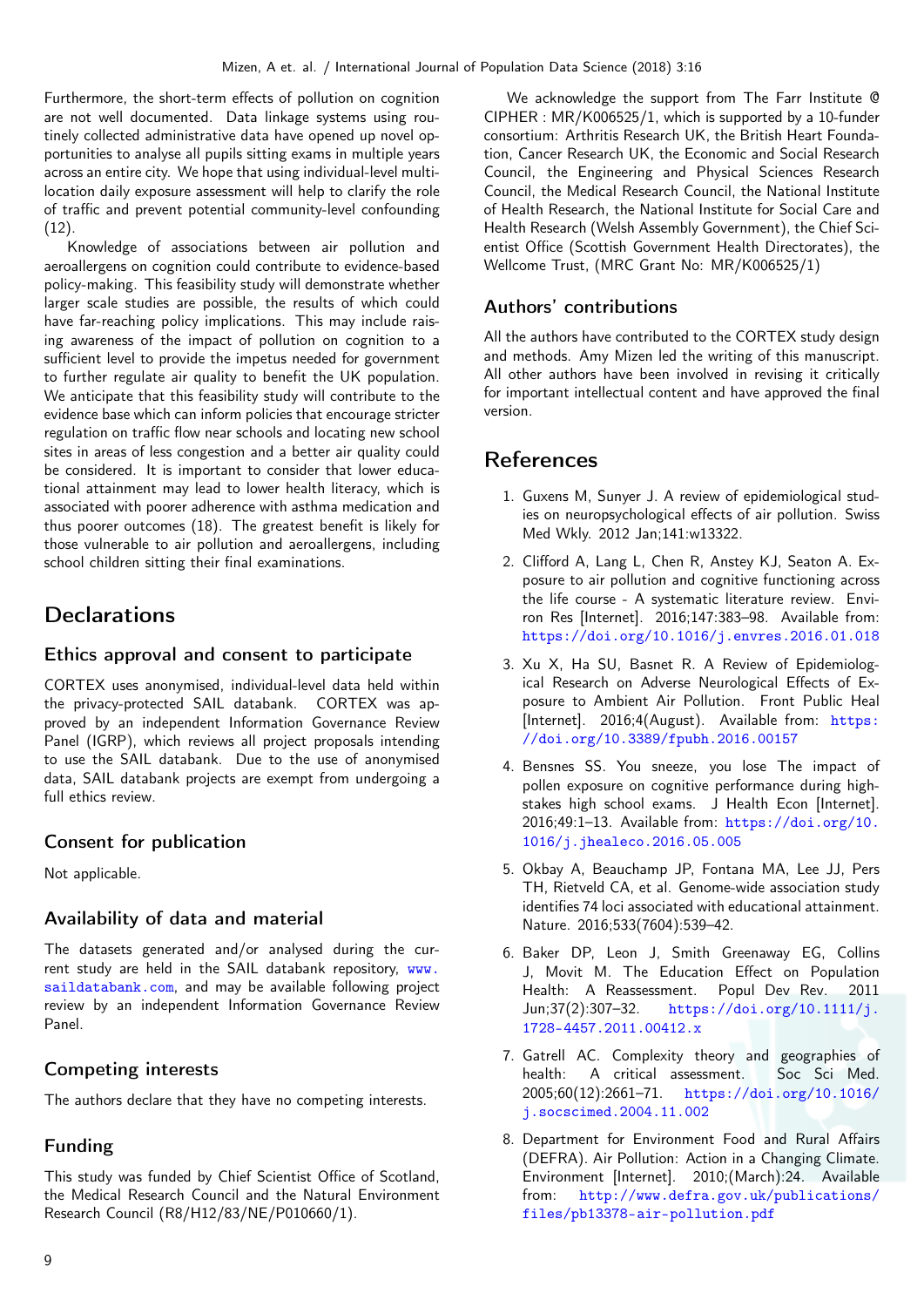Furthermore, the short-term effects of pollution on cognition are not well documented. Data linkage systems using routinely collected administrative data have opened up novel opportunities to analyse all pupils sitting exams in multiple years across an entire city. We hope that using individual-level multilocation daily exposure assessment will help to clarify the role of traffic and prevent potential community-level confounding (12).

Knowledge of associations between air pollution and aeroallergens on cognition could contribute to evidence-based policy-making. This feasibility study will demonstrate whether larger scale studies are possible, the results of which could have far-reaching policy implications. This may include raising awareness of the impact of pollution on cognition to a sufficient level to provide the impetus needed for government to further regulate air quality to benefit the UK population. We anticipate that this feasibility study will contribute to the evidence base which can inform policies that encourage stricter regulation on traffic flow near schools and locating new school sites in areas of less congestion and a better air quality could be considered. It is important to consider that lower educational attainment may lead to lower health literacy, which is associated with poorer adherence with asthma medication and thus poorer outcomes (18). The greatest benefit is likely for those vulnerable to air pollution and aeroallergens, including school children sitting their final examinations.

# **Declarations**

### Ethics approval and consent to participate

CORTEX uses anonymised, individual-level data held within the privacy-protected SAIL databank. CORTEX was approved by an independent Information Governance Review Panel (IGRP), which reviews all project proposals intending to use the SAIL databank. Due to the use of anonymised data, SAIL databank projects are exempt from undergoing a full ethics review.

## Consent for publication

Not applicable.

# Availability of data and material

The datasets generated and/or analysed during the current study are held in the SAIL databank repository, [www.](www.saildatabank.com) [saildatabank.com](www.saildatabank.com), and may be available following project review by an independent Information Governance Review Panel.

# Competing interests

The authors declare that they have no competing interests.

# Funding

This study was funded by Chief Scientist Office of Scotland, the Medical Research Council and the Natural Environment Research Council (R8/H12/83/NE/P010660/1).

We acknowledge the support from The Farr Institute @ CIPHER : MR/K006525/1, which is supported by a 10-funder consortium: Arthritis Research UK, the British Heart Foundation, Cancer Research UK, the Economic and Social Research Council, the Engineering and Physical Sciences Research Council, the Medical Research Council, the National Institute of Health Research, the National Institute for Social Care and Health Research (Welsh Assembly Government), the Chief Scientist Office (Scottish Government Health Directorates), the Wellcome Trust, (MRC Grant No: MR/K006525/1)

# Authors' contributions

All the authors have contributed to the CORTEX study design and methods. Amy Mizen led the writing of this manuscript. All other authors have been involved in revising it critically for important intellectual content and have approved the final version.

# References

- 1. Guxens M, Sunyer J. A review of epidemiological studies on neuropsychological effects of air pollution. Swiss Med Wkly. 2012 Jan;141:w13322.
- 2. Clifford A, Lang L, Chen R, Anstey KJ, Seaton A. Exposure to air pollution and cognitive functioning across the life course - A systematic literature review. Environ Res [Internet]. 2016;147:383–98. Available from: <https://doi.org/10.1016/j.envres.2016.01.018>
- 3. Xu X, Ha SU, Basnet R. A Review of Epidemiological Research on Adverse Neurological Effects of Exposure to Ambient Air Pollution. Front Public Heal [Internet]. 2016;4(August). Available from: [https:](https://doi.org/10.3389/fpubh.2016.00157) [//doi.org/10.3389/fpubh.2016.00157](https://doi.org/10.3389/fpubh.2016.00157)
- 4. Bensnes SS. You sneeze, you lose The impact of pollen exposure on cognitive performance during highstakes high school exams. J Health Econ [Internet]. 2016;49:1–13. Available from: [https://doi.org/10.](https://doi.org/10.1016/j.jhealeco.2016.05.005) [1016/j.jhealeco.2016.05.005](https://doi.org/10.1016/j.jhealeco.2016.05.005)
- 5. Okbay A, Beauchamp JP, Fontana MA, Lee JJ, Pers TH, Rietveld CA, et al. Genome-wide association study identifies 74 loci associated with educational attainment. Nature. 2016;533(7604):539–42.
- 6. Baker DP, Leon J, Smith Greenaway EG, Collins J, Movit M. The Education Effect on Population Health: A Reassessment. Popul Dev Rev. 2011 Jun;37(2):307–32. [https://doi.org/10.1111/j.](https://doi.org/10.1111/j.1728-4457.2011.00412.x) [1728-4457.2011.00412.x](https://doi.org/10.1111/j.1728-4457.2011.00412.x)
- 7. Gatrell AC. Complexity theory and geographies of health: A critical assessment. Soc Sci Med. 2005;60(12):2661–71. [https://doi.org/10.1016/](https://doi.org/10.1016/j.socscimed.2004.11.002) [j.socscimed.2004.11.002](https://doi.org/10.1016/j.socscimed.2004.11.002)
- 8. Department for Environment Food and Rural Affairs (DEFRA). Air Pollution: Action in a Changing Climate. Environment [Internet]. 2010;(March):24. Available from: [http://www.defra.gov.uk/publications/](http://www.defra.gov.uk/publications/files/pb13378-air-pollution.pdf) [files/pb13378-air-pollution.pdf](http://www.defra.gov.uk/publications/files/pb13378-air-pollution.pdf)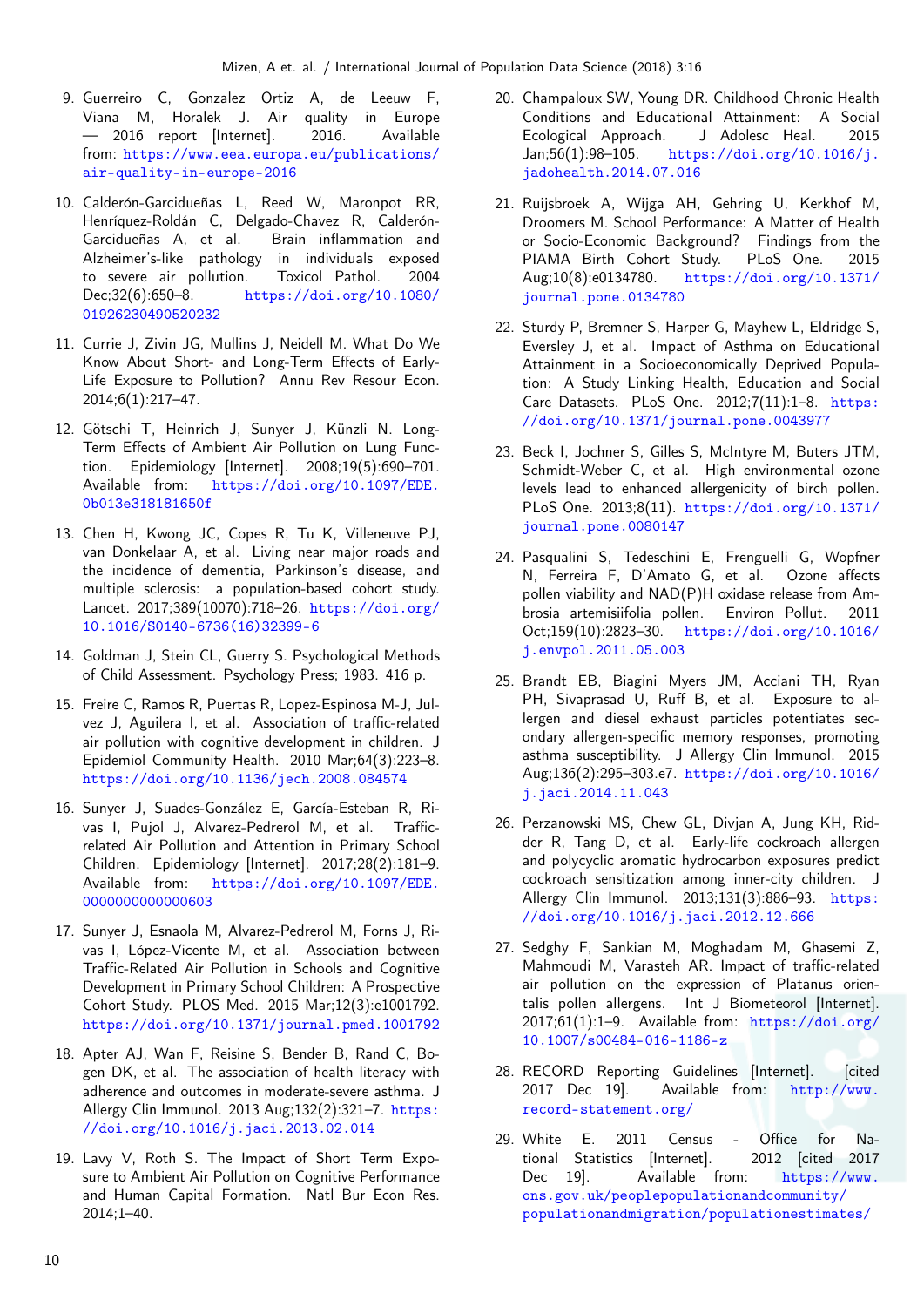- 9. Guerreiro C, Gonzalez Ortiz A, de Leeuw F, Viana M, Horalek J. Air quality in Europe — 2016 report [Internet]. 2016. Available from: [https://www.eea.europa.eu/publications/](https://www.eea.europa.eu/publications/air-quality-in-europe-2016) [air-quality-in-europe-2016](https://www.eea.europa.eu/publications/air-quality-in-europe-2016)
- 10. Calderón-Garcidueñas L, Reed W, Maronpot RR, Henríquez-Roldán C, Delgado-Chavez R, Calderón-Garcidueñas A, et al. Brain inflammation and Alzheimer's-like pathology in individuals exposed<br>to severe air pollution. Toxicol Pathol. 2004 to severe air pollution. Toxicol Pathol. 2004 Dec;32(6):650–8. [https://doi.org/10.1080/](https://doi.org/10.1080/01926230490520232) [01926230490520232](https://doi.org/10.1080/01926230490520232)
- 11. Currie J, Zivin JG, Mullins J, Neidell M. What Do We Know About Short- and Long-Term Effects of Early-Life Exposure to Pollution? Annu Rev Resour Econ. 2014;6(1):217–47.
- 12. Götschi T, Heinrich J, Sunyer J, Künzli N. Long-Term Effects of Ambient Air Pollution on Lung Function. Epidemiology [Internet]. 2008;19(5):690–701. Available from: [https://doi.org/10.1097/EDE.](https://doi.org/10.1097/EDE.0b013e318181650f) [0b013e318181650f](https://doi.org/10.1097/EDE.0b013e318181650f)
- 13. Chen H, Kwong JC, Copes R, Tu K, Villeneuve PJ, van Donkelaar A, et al. Living near major roads and the incidence of dementia, Parkinson's disease, and multiple sclerosis: a population-based cohort study. Lancet. 2017;389(10070):718–26. [https://doi.org/](https://doi.org/10.1016/S0140-6736(16)32399-6) [10.1016/S0140-6736\(16\)32399-6](https://doi.org/10.1016/S0140-6736(16)32399-6)
- 14. Goldman J, Stein CL, Guerry S. Psychological Methods of Child Assessment. Psychology Press; 1983. 416 p.
- 15. Freire C, Ramos R, Puertas R, Lopez-Espinosa M-J, Julvez J, Aguilera I, et al. Association of traffic-related air pollution with cognitive development in children. J Epidemiol Community Health. 2010 Mar;64(3):223–8. <https://doi.org/10.1136/jech.2008.084574>
- 16. Sunyer J, Suades-González E, García-Esteban R, Rivas I, Pujol J, Alvarez-Pedrerol M, et al. Trafficrelated Air Pollution and Attention in Primary School Children. Epidemiology [Internet]. 2017;28(2):181–9. Available from: [https://doi.org/10.1097/EDE.](https://doi.org/10.1097/EDE.0000000000000603) [0000000000000603](https://doi.org/10.1097/EDE.0000000000000603)
- 17. Sunyer J, Esnaola M, Alvarez-Pedrerol M, Forns J, Rivas I, López-Vicente M, et al. Association between Traffic-Related Air Pollution in Schools and Cognitive Development in Primary School Children: A Prospective Cohort Study. PLOS Med. 2015 Mar;12(3):e1001792. <https://doi.org/10.1371/journal.pmed.1001792>
- 18. Apter AJ, Wan F, Reisine S, Bender B, Rand C, Bogen DK, et al. The association of health literacy with adherence and outcomes in moderate-severe asthma. J Allergy Clin Immunol. 2013 Aug;132(2):321–7. [https:](https://doi.org/10.1016/j.jaci.2013.02.014) [//doi.org/10.1016/j.jaci.2013.02.014](https://doi.org/10.1016/j.jaci.2013.02.014)
- 19. Lavy V, Roth S. The Impact of Short Term Exposure to Ambient Air Pollution on Cognitive Performance and Human Capital Formation. Natl Bur Econ Res. 2014;1–40.
- 20. Champaloux SW, Young DR. Childhood Chronic Health Conditions and Educational Attainment: A Social Ecological Approach. J Adolesc Heal. 2015 Jan;56(1):98–105. [https://doi.org/10.1016/j.](https://doi.org/10.1016/j.jadohealth.2014.07.016) [jadohealth.2014.07.016](https://doi.org/10.1016/j.jadohealth.2014.07.016)
- 21. Ruijsbroek A, Wijga AH, Gehring U, Kerkhof M, Droomers M. School Performance: A Matter of Health or Socio-Economic Background? Findings from the<br>PIAMA Birth Cohort Study. PLoS One. 2015 PIAMA Birth Cohort Study. PLoS One. 2015 Aug;10(8):e0134780. [https://doi.org/10.1371/](https://doi.org/10.1371/journal.pone.0134780) [journal.pone.0134780](https://doi.org/10.1371/journal.pone.0134780)
- 22. Sturdy P, Bremner S, Harper G, Mayhew L, Eldridge S, Eversley J, et al. Impact of Asthma on Educational Attainment in a Socioeconomically Deprived Population: A Study Linking Health, Education and Social Care Datasets. PLoS One. 2012;7(11):1–8. [https:](https://doi.org/10.1371/journal.pone.0043977) [//doi.org/10.1371/journal.pone.0043977](https://doi.org/10.1371/journal.pone.0043977)
- 23. Beck I, Jochner S, Gilles S, McIntyre M, Buters JTM, Schmidt-Weber C, et al. High environmental ozone levels lead to enhanced allergenicity of birch pollen. PLoS One. 2013;8(11). [https://doi.org/10.1371/](https://doi.org/10.1371/journal.pone.0080147) [journal.pone.0080147](https://doi.org/10.1371/journal.pone.0080147)
- 24. Pasqualini S, Tedeschini E, Frenguelli G, Wopfner N, Ferreira F, D'Amato G, et al. Ozone affects pollen viability and NAD(P)H oxidase release from Ambrosia artemisiifolia pollen. Environ Pollut. 2011 Oct;159(10):2823–30. [https://doi.org/10.1016/](https://doi.org/10.1016/j.envpol.2011.05.003) [j.envpol.2011.05.003](https://doi.org/10.1016/j.envpol.2011.05.003)
- 25. Brandt EB, Biagini Myers JM, Acciani TH, Ryan PH, Sivaprasad U, Ruff B, et al. Exposure to allergen and diesel exhaust particles potentiates secondary allergen-specific memory responses, promoting asthma susceptibility. J Allergy Clin Immunol. 2015 Aug;136(2):295–303.e7. [https://doi.org/10.1016/](https://doi.org/10.1016/j.jaci.2014.11.043) [j.jaci.2014.11.043](https://doi.org/10.1016/j.jaci.2014.11.043)
- 26. Perzanowski MS, Chew GL, Divjan A, Jung KH, Ridder R, Tang D, et al. Early-life cockroach allergen and polycyclic aromatic hydrocarbon exposures predict cockroach sensitization among inner-city children. J Allergy Clin Immunol. 2013;131(3):886–93. [https:](https://doi.org/10.1016/j.jaci.2012.12.666) [//doi.org/10.1016/j.jaci.2012.12.666](https://doi.org/10.1016/j.jaci.2012.12.666)
- 27. Sedghy F, Sankian M, Moghadam M, Ghasemi Z, Mahmoudi M, Varasteh AR. Impact of traffic-related air pollution on the expression of Platanus orientalis pollen allergens. Int J Biometeorol [Internet]. 2017;61(1):1–9. Available from: [https://doi.org/](https://doi.org/10.1007/s00484-016-1186-z) [10.1007/s00484-016-1186-z](https://doi.org/10.1007/s00484-016-1186-z)
- 28. RECORD Reporting Guidelines [Internet]. [cited] 2017 Dec 19]. Available from: [http://www.](http://www.record-statement.org/) [record-statement.org/](http://www.record-statement.org/)
- 29. White E. 2011 Census Office for National Statistics [Internet]. 2012 [cited 2017 Dec 19]. Available from: [https://www.](https://www.ons.gov.uk/peoplepopulationandcommunity/populationandmigration/populationestimates/bulletins/2011censuskeystatisticsforwales/2012-12-11#tab---Proficiency-in-Welsh) [ons.gov.uk/peoplepopulationandcommunity/](https://www.ons.gov.uk/peoplepopulationandcommunity/populationandmigration/populationestimates/bulletins/2011censuskeystatisticsforwales/2012-12-11#tab---Proficiency-in-Welsh) [populationandmigration/populationestimates/](https://www.ons.gov.uk/peoplepopulationandcommunity/populationandmigration/populationestimates/bulletins/2011censuskeystatisticsforwales/2012-12-11#tab---Proficiency-in-Welsh)